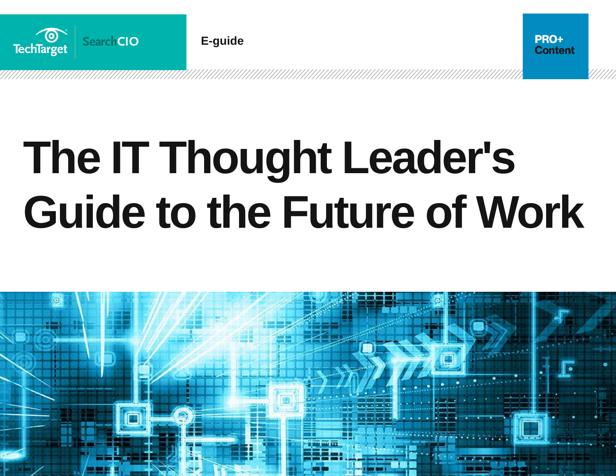

**E-guide**

**PRO+ Content** 

# **The IT Thought Leader's Guide to the Future of Work**

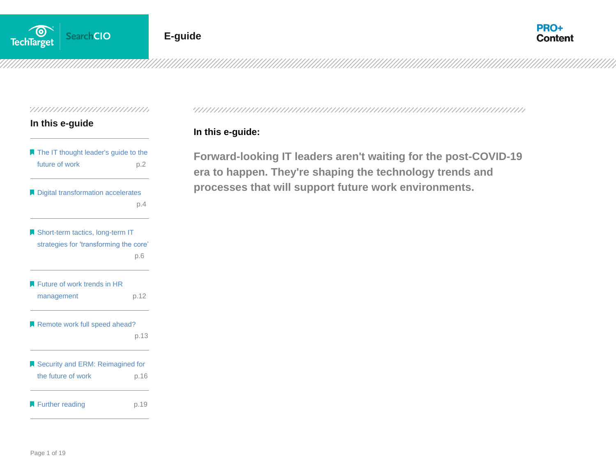

## **In this e-guide**

| The IT thought leader's guide to the   |      |
|----------------------------------------|------|
| future of work                         | p.2  |
| Digital transformation accelerates     |      |
|                                        | p.4  |
| Short-term tactics, long-term IT       |      |
| strategies for 'transforming the core' |      |
|                                        | p.6  |
| Future of work trends in HR            |      |
| management                             | p.12 |
| Remote work full speed ahead?          |      |
|                                        | p.13 |
| Security and ERM: Reimagined for       |      |
| the future of work                     | p.16 |
| Further reading                        | p.19 |

#### 

### **In this e-guide:**

**Forward-looking IT leaders aren't waiting for the post-COVID-19 era to happen. They're shaping the technology trends and processes that will support future work environments.**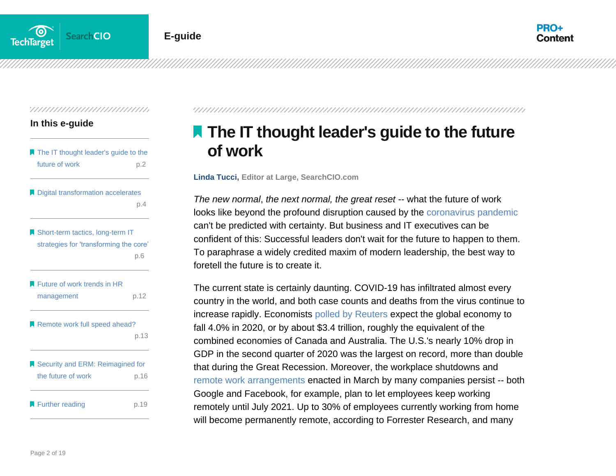

#### **In this e-guide**

| The IT thought leader's guide to the<br>future of work                     | p.2  |
|----------------------------------------------------------------------------|------|
| Digital transformation accelerates                                         | p.4  |
| Short-term tactics, long-term IT<br>strategies for 'transforming the core' | p.6  |
| Future of work trends in HR<br>management                                  | p.12 |
| Remote work full speed ahead?                                              | p.13 |
| Security and ERM: Reimagined for<br>the future of work                     | p.16 |
| Further reading                                                            | p.19 |

<span id="page-2-0"></span>

# **The IT thought leader's guide to the future of work**

**Linda Tucci, Editor at Large, SearchCIO.com**

*The new normal, the next normal, the great reset* -- what the future of work looks like beyond the profound disruption caused by the [coronavirus pandemic](https://searchdisasterrecovery.techtarget.com/The-impact-of-coronavirus-on-business-continuity-planning?utm_source=PDF&utm_medium=Pillar&utm_campaign=ITThoughtLeader) can't be predicted with certainty. But business and IT executives can be confident of this: Successful leaders don't wait for the future to happen to them. To paraphrase a widely credited maxim of modern leadership, the best way to foretell the future is to create it.

The current state is certainly daunting. COVID-19 has infiltrated almost every country in the world, and both case counts and deaths from the virus continue to increase rapidly. Economists [polled by](https://uk.reuters.com/article/uk-global-economy-poll/as-pandemic-rages-on-world-economic-recovery-looks-ever-more-shaky-reuters-poll-idUKKCN24W012?utm_source=PDF&utm_medium=Pillar&utm_campaign=ITThoughtLeader) Reuters expect the global economy to fall 4.0% in 2020, or by about \$3.4 trillion, roughly the equivalent of the combined economies of Canada and Australia. The U.S.'s nearly 10% drop in GDP in the second quarter of 2020 was the largest on record, more than double that during the Great Recession. Moreover, the workplace shutdowns and [remote work arrangements](https://searchcio.techtarget.com/feature/C-suite-executives-offer-advice-on-working-remotely-during-pandemic?utm_source=PDF&utm_medium=Pillar&utm_campaign=ITThoughtLeader) enacted in March by many companies persist -- both Google and Facebook, for example, plan to let employees keep working remotely until July 2021. Up to 30% of employees currently working from home will become permanently remote, according to Forrester Research, and many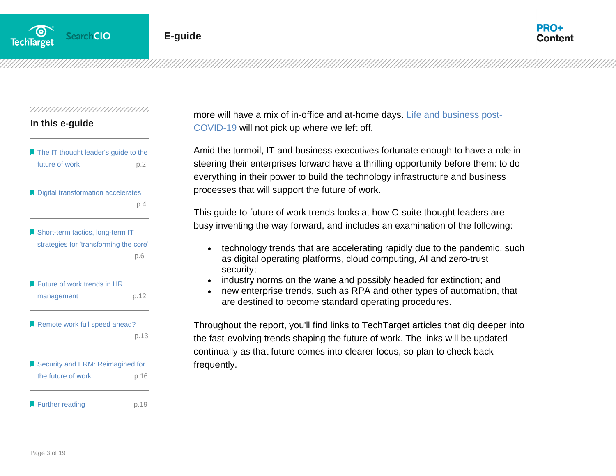

#### **In this e-guide**

| The IT thought leader's guide to the<br>future of work                     | p.2  |
|----------------------------------------------------------------------------|------|
| Digital transformation accelerates                                         | p.4  |
| Short-term tactics, long-term IT<br>strategies for 'transforming the core' | p.6  |
| Future of work trends in HR<br>management                                  | p.12 |
| Remote work full speed ahead?                                              | p.13 |
| Security and ERM: Reimagined for<br>the future of work                     | p.16 |
| Further reading                                                            | p.19 |

more will have a mix of in-office and at-home days. [Life and business post-](https://searchcustomerexperience.techtarget.com/feature/Life-and-business-post-COVID-19-for-employees-and-companies?utm_source=PDF&utm_medium=Pillar&utm_campaign=ITThoughtLeader)[COVID-19](https://searchcustomerexperience.techtarget.com/feature/Life-and-business-post-COVID-19-for-employees-and-companies?utm_source=PDF&utm_medium=Pillar&utm_campaign=ITThoughtLeader) will not pick up where we left off.

Amid the turmoil, IT and business executives fortunate enough to have a role in steering their enterprises forward have a thrilling opportunity before them: to do everything in their power to build the technology infrastructure and business processes that will support the future of work.

This guide to future of work trends looks at how C-suite thought leaders are busy inventing the way forward, and includes an examination of the following:

- technology trends that are accelerating rapidly due to the pandemic, such as digital operating platforms, cloud computing, AI and zero-trust security;
- industry norms on the wane and possibly headed for extinction; and
- new enterprise trends, such as RPA and other types of automation, that are destined to become standard operating procedures.

Throughout the report, you'll find links to TechTarget articles that dig deeper into the fast-evolving trends shaping the future of work. The links will be updated continually as that future comes into clearer focus, so plan to check back frequently.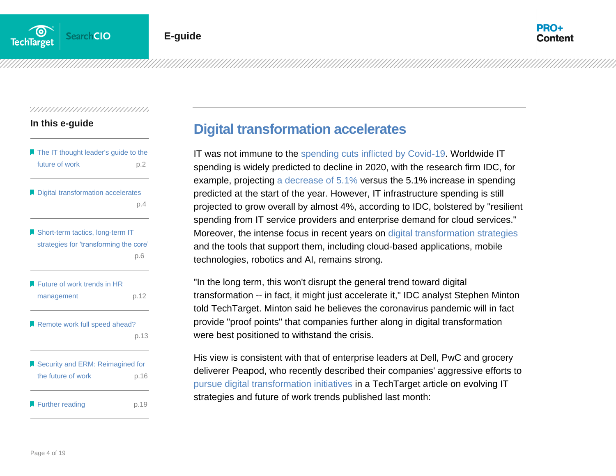#### **In this e-guide**

| The IT thought leader's guide to the<br>future of work | p.2  |
|--------------------------------------------------------|------|
| Digital transformation accelerates                     |      |
|                                                        | p.4  |
| Short-term tactics, long-term IT                       |      |
| strategies for 'transforming the core'                 |      |
|                                                        | p.6  |
| Future of work trends in HR                            |      |
| management                                             | p.12 |
| Remote work full speed ahead?                          |      |
|                                                        | p.13 |
| Security and ERM: Reimagined for                       |      |
| the future of work                                     | p.16 |
| Further reading                                        | p.19 |

## <span id="page-4-0"></span>**Digital transformation accelerates**

IT was not immune to the [spending cuts inflicted by Covid-19.](https://searchcio.techtarget.com/feature/Top-2020-IT-priorities-hold-fast-amid-COVID-19-spending-takes-hit?utm_source=PDF&utm_medium=Pillar&utm_campaign=ITThoughtLeader) Worldwide IT spending is widely predicted to decline in 2020, with the research firm IDC, for example, projecting [a decrease of 5.1%](https://searchcio.techtarget.com/news/252483187/IT-spending-now-expected-to-decline-51-in-face-of-pandemic?utm_source=PDF&utm_medium=Pillar&utm_campaign=ITThoughtLeader) versus the 5.1% increase in spending predicted at the start of the year. However, IT infrastructure spending is still projected to grow overall by almost 4%, according to IDC, bolstered by "resilient spending from IT service providers and enterprise demand for cloud services." Moreover, the intense focus in recent years on [digital transformation strategies](https://searchcio.techtarget.com/feature/5-digital-transformation-strategies-embracing-the-new-normal?utm_source=PDF&utm_medium=Pillar&utm_campaign=ITThoughtLeader) and the tools that support them, including cloud-based applications, mobile technologies, robotics and AI, remains strong.

"In the long term, this won't disrupt the general trend toward digital transformation -- in fact, it might just accelerate it," IDC analyst Stephen Minton told TechTarget. Minton said he believes the coronavirus pandemic will in fact provide "proof points" that companies further along in digital transformation were best positioned to withstand the crisis.

His view is consistent with that of enterprise leaders at Dell, PwC and grocery deliverer Peapod, who recently described their companies' aggressive efforts to [pursue digital transformation initiatives](https://searchcio.techtarget.com/feature/Dell-PwC-Peapod-accelerate-digital-transformation-initiatives?utm_source=PDF&utm_medium=Pillar&utm_campaign=ITThoughtLeader) in a TechTarget article on evolving IT strategies and future of work trends published last month: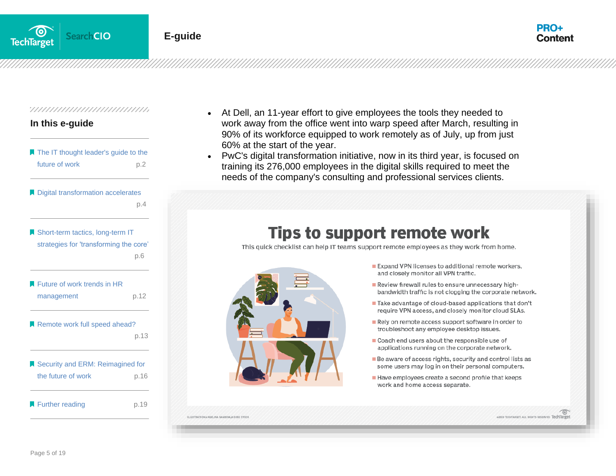



#### **In this e-guide**

| <b>The IT thought leader's guide to the</b><br>future of work | p.2  |
|---------------------------------------------------------------|------|
| Digital transformation accelerates                            |      |
|                                                               | p.4  |
| Short-term tactics, long-term IT                              |      |
| strategies for 'transforming the core'                        |      |
|                                                               | p.6  |
| Future of work trends in HR                                   |      |
| management                                                    | p.12 |
| Remote work full speed ahead?                                 |      |
|                                                               | p.13 |
| Security and ERM: Reimagined for                              |      |
| the future of work                                            | p.16 |

**[Further reading](#page-19-0) by P.19** 

- At Dell, an 11-year effort to give employees the tools they needed to work away from the office went into warp speed after March, resulting in 90% of its workforce equipped to work remotely as of July, up from just 60% at the start of the year.
- PwC's digital transformation initiative, now in its third year, is focused on training its 276,000 employees in the digital skills required to meet the [needs of the company](https://cdn.ttgtmedia.com/rms/onlineImages/networking-supporting_remote_workers-f.png)'[s consulting and professional services clients.](https://cdn.ttgtmedia.com/rms/onlineImages/networking-supporting_remote_workers-f.png)

# **Tips to support remote work**

This quick checklist can help IT teams support remote employees as they work from home.



- Expand VPN licenses to additional remote workers, and closely monitor all VPN traffic.
- Review firewall rules to ensure unnecessary highbandwidth traffic is not clogging the corporate network.
- Take advantage of cloud-based applications that don't require VPN access, and closely monitor cloud SLAs.
- Rely on remote access support software in order to troubleshoot any employee desktop issues.
- Coach end users about the responsible use of applications running on the corporate network.
- Be aware of access rights, security and control lists as some users may log in on their personal computers.
- Have employees create a second profile that keeps work and home access separate.

LINA BAMBINA & DORE STOCK

20 TECHTARGET. ALL RIGHTS RESERVED TechTarge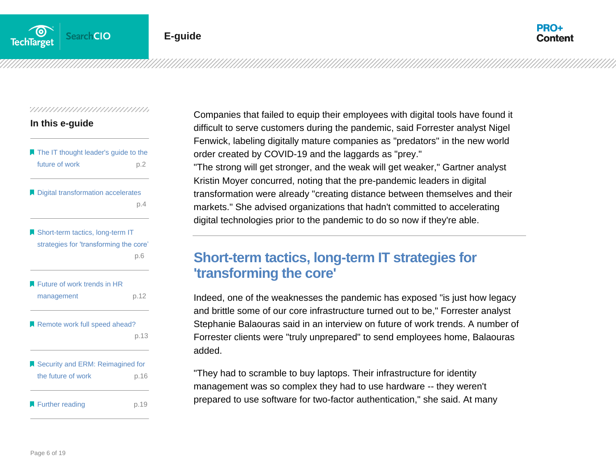

#### **In this e-guide**

| The IT thought leader's guide to the<br>future of work                     | p.2  |
|----------------------------------------------------------------------------|------|
| Digital transformation accelerates                                         | p.4  |
| Short-term tactics, long-term IT<br>strategies for 'transforming the core' | p.6  |
| Future of work trends in HR<br>management                                  | p.12 |
| Remote work full speed ahead?                                              | p.13 |
| Security and ERM: Reimagined for<br>the future of work                     | p.16 |
| Further reading                                                            | p.19 |

Companies that failed to equip their employees with digital tools have found it difficult to serve customers during the pandemic, said Forrester analyst Nigel Fenwick, labeling digitally mature companies as "predators" in the new world order created by COVID-19 and the laggards as "prey." "The strong will get stronger, and the weak will get weaker," Gartner analyst Kristin Moyer concurred, noting that the pre-pandemic leaders in digital transformation were already "creating distance between themselves and their markets." She advised organizations that hadn't committed to accelerating digital technologies prior to the pandemic to do so now if they're able.

## <span id="page-6-0"></span>**Short-term tactics, long-term IT strategies for 'transforming the core'**

Indeed, one of the weaknesses the pandemic has exposed "is just how legacy and brittle some of our core infrastructure turned out to be," Forrester analyst Stephanie Balaouras said in an interview on future of work trends. A number of Forrester clients were "truly unprepared" to send employees home, Balaouras added.

"They had to scramble to buy laptops. Their infrastructure for identity management was so complex they had to use hardware -- they weren't prepared to use software for two-factor authentication," she said. At many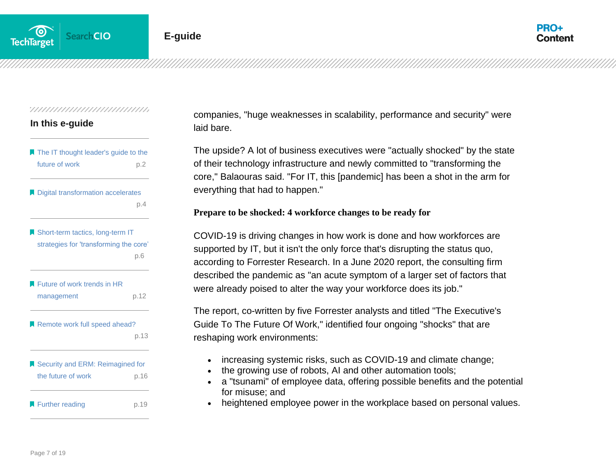

#### **In this e-guide**

| The IT thought leader's guide to the<br>future of work                     | p.2  |
|----------------------------------------------------------------------------|------|
| Digital transformation accelerates                                         | p.4  |
| Short-term tactics, long-term IT<br>strategies for 'transforming the core' | p.6  |
| Future of work trends in HR<br>management                                  | p.12 |
| Remote work full speed ahead?                                              | p.13 |
| Security and ERM: Reimagined for<br>the future of work                     | p.16 |
| Further reading                                                            | p.19 |

companies, "huge weaknesses in scalability, performance and security" were laid bare.

The upside? A lot of business executives were "actually shocked" by the state of their technology infrastructure and newly committed to "transforming the core," Balaouras said. "For IT, this [pandemic] has been a shot in the arm for everything that had to happen."

#### **Prepare to be shocked: 4 workforce changes to be ready for**

COVID-19 is driving changes in how work is done and how workforces are supported by IT, but it isn't the only force that's disrupting the status quo, according to Forrester Research. In a June 2020 report, the consulting firm described the pandemic as "an acute symptom of a larger set of factors that were already poised to alter the way your workforce does its job."

The report, co-written by five Forrester analysts and titled "The Executive's Guide To The Future Of Work," identified four ongoing "shocks" that are reshaping work environments:

- increasing systemic risks, such as COVID-19 and climate change;
- the growing use of robots, AI and other automation tools;
- a "tsunami" of employee data, offering possible benefits and the potential for misuse; and
- heightened employee power in the workplace based on personal values.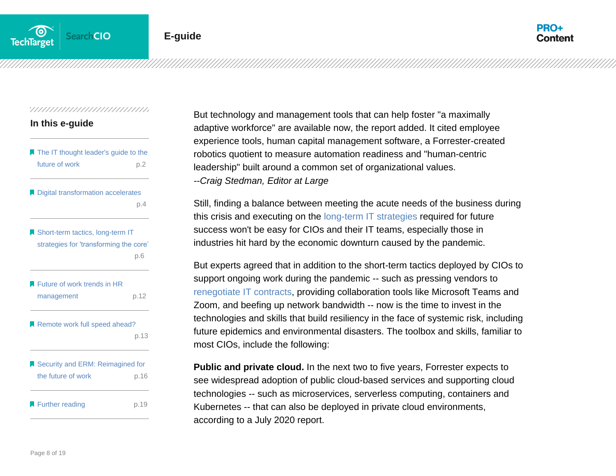

## **In this e-guide**

| The IT thought leader's guide to the<br>future of work                     | p.2  |
|----------------------------------------------------------------------------|------|
| Digital transformation accelerates                                         | p.4  |
| Short-term tactics, long-term IT<br>strategies for 'transforming the core' | p.6  |
| Future of work trends in HR<br>management                                  | p.12 |
| Remote work full speed ahead?                                              | p.13 |
| Security and ERM: Reimagined for<br>the future of work                     | p.16 |
| Further reading                                                            | p.19 |

But technology and management tools that can help foster "a maximally adaptive workforce" are available now, the report added. It cited employee experience tools, human capital management software, a Forrester-created robotics quotient to measure automation readiness and "human-centric leadership" built around a common set of organizational values. *--Craig Stedman, Editor at Large*

Still, finding a balance between meeting the acute needs of the business during this crisis and executing on the [long-term IT strategies](https://searchcio.techtarget.com/feature/CIO-strategies-for-COVID-19-require-new-long-term-IT-planning?utm_source=PDF&utm_medium=Pillar&utm_campaign=ITThoughtLeader) required for future success won't be easy for CIOs and their IT teams, especially those in industries hit hard by the economic downturn caused by the pandemic.

But experts agreed that in addition to the short-term tactics deployed by CIOs to support ongoing work during the pandemic -- such as pressing vendors to [renegotiate IT contracts,](https://searchcio.techtarget.com/news/252480492/Coronavirus-pandemic-ups-the-IT-contract-negotiation-game?utm_source=PDF&utm_medium=Pillar&utm_campaign=ITThoughtLeader) providing collaboration tools like Microsoft Teams and Zoom, and beefing up network bandwidth -- now is the time to invest in the technologies and skills that build resiliency in the face of systemic risk, including future epidemics and environmental disasters. The toolbox and skills, familiar to most CIOs, include the following:

**Public and private cloud.** In the next two to five years, Forrester expects to see widespread adoption of public cloud-based services and supporting cloud technologies -- such as microservices, serverless computing, containers and Kubernetes -- that can also be deployed in private cloud environments, according to a July 2020 report.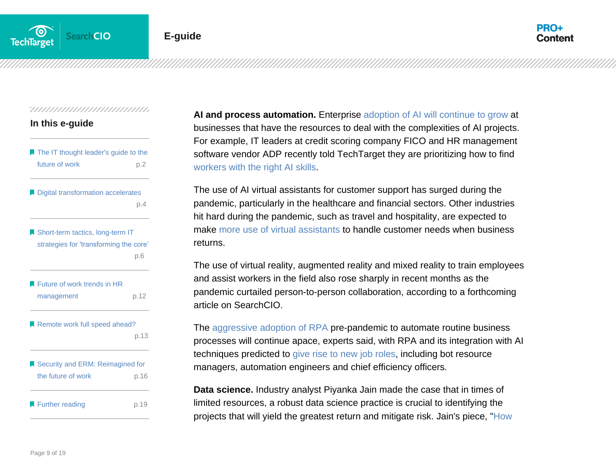

| In this e-guide |  |
|-----------------|--|
|                 |  |

| The IT thought leader's guide to the<br>future of work                     | p.2  |
|----------------------------------------------------------------------------|------|
| Digital transformation accelerates                                         | p.4  |
| Short-term tactics, long-term IT<br>strategies for 'transforming the core' | p.6  |
| Future of work trends in HR<br>management                                  | p.12 |
| Remote work full speed ahead?                                              | p.13 |
| Security and ERM: Reimagined for<br>the future of work                     | p.16 |
| Further reading                                                            | p.19 |

**AI and process automation.** Enterprise [adoption of AI will continue to grow](https://searchenterpriseai.techtarget.com/feature/The-state-of-AI-in-2020-likely-sees-more-adoption?utm_source=PDF&utm_medium=Pillar&utm_campaign=ITThoughtLeader) at businesses that have the resources to deal with the complexities of AI projects. For example, IT leaders at credit scoring company FICO and HR management software vendor ADP recently told TechTarget they are prioritizing how to find [workers with the right AI skills.](https://searchcio.techtarget.com/feature/How-to-hire-a-data-scientist-with-AI-skills-during-pandemic?utm_source=PDF&utm_medium=Pillar&utm_campaign=ITThoughtLeader)

The use of AI virtual assistants for customer support has surged during the pandemic, particularly in the healthcare and financial sectors. Other industries hit hard during the pandemic, such as travel and hospitality, are expected to make [more use of virtual assistants](https://searchcio.techtarget.com/feature/Use-of-virtual-digital-assistants-for-enterprise-applications?utm_source=PDF&utm_medium=Pillar&utm_campaign=ITThoughtLeader) to handle customer needs when business returns.

The use of virtual reality, augmented reality and mixed reality to train employees and assist workers in the field also rose sharply in recent months as the pandemic curtailed person-to-person collaboration, according to a forthcoming article on SearchCIO.

The [aggressive adoption of RPA](https://searchcio.techtarget.com/Ultimate-guide-to-RPA-robotic-process-automation?utm_source=PDF&utm_medium=Pillar&utm_campaign=ITThoughtLeader) pre-pandemic to automate routine business processes will continue apace, experts said, with RPA and its integration with AI techniques predicted to [give rise to new job roles,](https://searchcio.techtarget.com/feature/Rise-of-automation-creates-new-RPA-job-descriptions?utm_source=PDF&utm_medium=Pillar&utm_campaign=ITThoughtLeader) including bot resource managers, automation engineers and chief efficiency officers*.*

**Data science.** Industry analyst Piyanka Jain made the case that in times of limited resources, a robust data science practice is crucial to identifying the projects that will yield the greatest return and mitigate risk. Jain's piece, ["How](https://searchcio.techtarget.com/feature/How-data-science-can-help-your-company-withstand-the-pandemic?utm_source=PDF&utm_medium=Pillar&utm_campaign=ITThoughtLeader)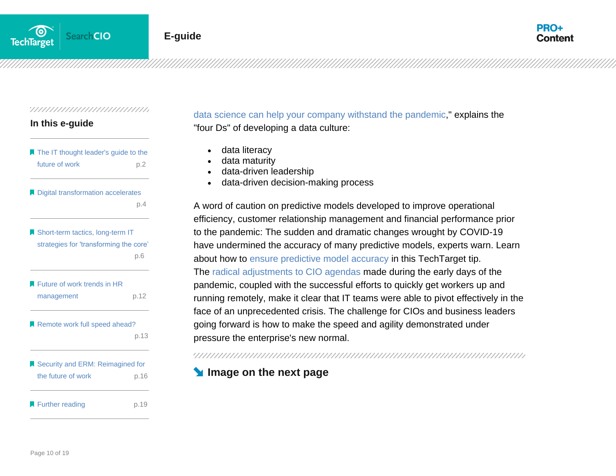#### **In this e-guide**

| The IT thought leader's guide to the<br>future of work | p.2  |
|--------------------------------------------------------|------|
| Digital transformation accelerates                     | p.4  |
| Short-term tactics, long-term IT                       |      |
| strategies for 'transforming the core'                 | p.6  |
| Future of work trends in HR                            |      |
| management                                             | p.12 |
| Remote work full speed ahead?                          |      |
|                                                        | p.13 |
| Security and ERM: Reimagined for                       |      |
| the future of work                                     | p.16 |
| Further reading                                        | p.19 |

## [data science can help your company withstand the pandemic,](https://searchcio.techtarget.com/feature/How-data-science-can-help-your-company-withstand-the-pandemic?utm_source=PDF&utm_medium=Pillar&utm_campaign=ITThoughtLeader)" explains the "four Ds" of developing a data culture:

- data literacy
- data maturity
- data-driven leadership
- data-driven decision-making process

A word of caution on predictive models developed to improve operational efficiency, customer relationship management and financial performance prior to the pandemic: The sudden and dramatic changes wrought by COVID-19 have undermined the accuracy of many predictive models, experts warn. Learn about how to [ensure predictive model accuracy](https://searchbusinessanalytics.techtarget.com/feature/Ensuring-predictive-model-accuracy-in-the-age-of-COVID-19?utm_source=PDF&utm_medium=Pillar&utm_campaign=ITThoughtLeader) in this TechTarget tip. The [radical adjustments to CIO agendas](https://searchcio.techtarget.com/feature/COVID-19-radically-refocuses-CIO-agendas-in-4-key-areas?utm_source=PDF&utm_medium=Pillar&utm_campaign=ITThoughtLeader) made during the early days of the pandemic, coupled with the successful efforts to quickly get workers up and running remotely, make it clear that IT teams were able to pivot effectively in the face of an unprecedented crisis. The challenge for CIOs and business leaders going forward is how to make the speed and agility demonstrated under pressure the enterprise's new normal.

#### /////////////////////////////////////

## **Image on the next page**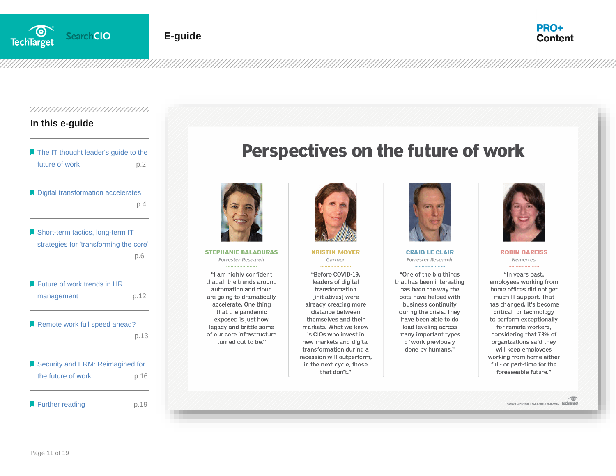



#### **In this e-guide**

| The IT thought leader's guide to the<br>future of work                     | p.2  |
|----------------------------------------------------------------------------|------|
| Digital transformation accelerates                                         | p.4  |
| Short-term tactics, long-term IT<br>strategies for 'transforming the core' |      |
|                                                                            | p.6  |
| Future of work trends in HR<br>management                                  | p.12 |
| Remote work full speed ahead?                                              | p.13 |
| Security and ERM: Reimagined for<br>the future of work                     | p.16 |
| Further reading                                                            | p.19 |

# Perspectives on the future of work



**STEPHANIE BALAOURAS** Forrester Research

"I am highly confident that all the trends around automation and cloud are going to dramatically accelerate. One thing that the pandemic exposed is just how legacy and brittle some of our core infrastructure turned out to be."



**KRISTIN MOYER** Gartner

"Before COVID-19. leaders of digital transformation [initiatives] were already creating more distance between themselves and their markets. What we know is CIOs who invest in new markets and digital transformation during a recession will outperform, in the next cycle, those that don't."



**CRAIG LE CLAIR** Forrester Research

"One of the big things that has been interesting has been the way the bots have helped with business continuity during the crisis. They have been able to do load leveling across many important types of work previously done by humans."



**ROBIN GAREISS** Nemertes

"In years past, employees working from home offices did not get much IT support. That has changed. It's become critical for technology to perform exceptionally for remote workers, considering that 73% of organizations said they will keep employees working from home either full- or part-time for the foreseeable future."

**02020 TECHTARGET, ALL RIGHTS RESERVED TechTarget**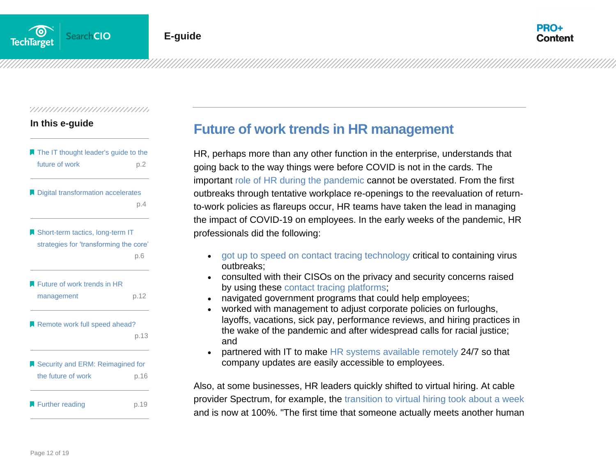#### **In this e-guide**

| The IT thought leader's guide to the<br>future of work                     | p.2  |
|----------------------------------------------------------------------------|------|
| Digital transformation accelerates                                         | p.4  |
| Short-term tactics, long-term IT<br>strategies for 'transforming the core' | p.6  |
| Future of work trends in HR<br>management                                  | p.12 |
| Remote work full speed ahead?                                              | p.13 |
| Security and ERM: Reimagined for<br>the future of work                     | p.16 |
| Further reading                                                            | p.19 |

## <span id="page-12-0"></span>**Future of work trends in HR management**

HR, perhaps more than any other function in the enterprise, understands that going back to the way things were before COVID is not in the cards. The important [role of HR during the pandemic](https://searchhrsoftware.techtarget.com/tip/HRs-role-in-juggling-COVID-19s-effects?utm_source=PDF&utm_medium=Pillar&utm_campaign=ITThoughtLeader) cannot be overstated. From the first outbreaks through tentative workplace re-openings to the reevaluation of returnto-work policies as flareups occur, HR teams have taken the lead in managing the impact of COVID-19 on employees. In the early weeks of the pandemic, HR professionals did the following:

- [got up to speed on contact tracing technology](https://searchhrsoftware.techtarget.com/news/252484997/Contact-tracing-technology-is-hottest-new-thing-in-HR?utm_source=PDF&utm_medium=Pillar&utm_campaign=ITThoughtLeader) critical to containing virus outbreaks;
- consulted with their CISOs on the privacy and security concerns raised by using these [contact tracing platforms;](https://searchcustomerexperience.techtarget.com/news/252483022/Salesforce-coronavirus-contact-tracing-platform-goes-national?utm_source=PDF&utm_medium=Pillar&utm_campaign=ITThoughtLeader)
- navigated government programs that could help employees;
- worked with management to adjust corporate policies on furloughs, layoffs, vacations, sick pay, performance reviews, and hiring practices in the wake of the pandemic and after widespread calls for racial justice; and
- partnered with IT to make [HR systems available remotely](https://searchhrsoftware.techtarget.com/tip/4-ways-to-use-HR-systems-to-communicate-with-your-employees?utm_source=PDF&utm_medium=Pillar&utm_campaign=ITThoughtLeader) 24/7 so that company updates are easily accessible to employees.

Also, at some businesses, HR leaders quickly shifted to virtual hiring. At cable provider Spectrum, for example, the [transition to virtual hiring took about a week](https://searchhrsoftware.techtarget.com/feature/Major-employer-Spectrum-shifts-to-virtual-hiring-in-a-week?utm_source=PDF&utm_medium=Pillar&utm_campaign=ITThoughtLeader) and is now at 100%. "The first time that someone actually meets another human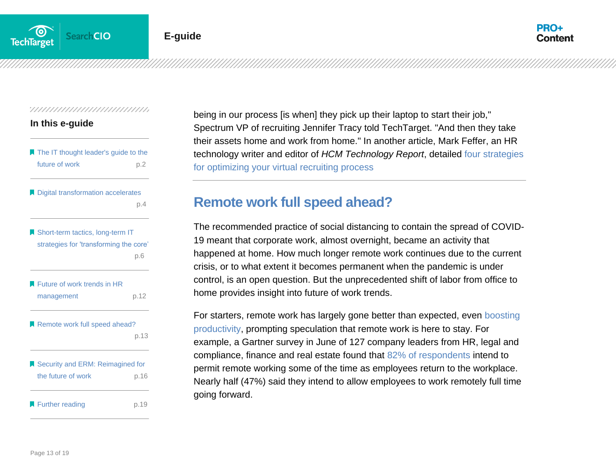

#### **In this e-guide**

| The IT thought leader's guide to the   |      |
|----------------------------------------|------|
| future of work                         | p.2  |
| Digital transformation accelerates     |      |
|                                        | p.4  |
| Short-term tactics, long-term IT       |      |
| strategies for 'transforming the core' |      |
|                                        | p.6  |
| Future of work trends in HR            |      |
| management                             | p.12 |
| Remote work full speed ahead?          |      |
|                                        | p.13 |
| Security and ERM: Reimagined for       |      |
| the future of work                     | p.16 |
| Further reading                        | p.19 |

being in our process [is when] they pick up their laptop to start their job," Spectrum VP of recruiting Jennifer Tracy told TechTarget. "And then they take their assets home and work from home." In another article, Mark Feffer, an HR technology writer and editor of *HCM Technology Report*, detailed [four strategies](https://searchhrsoftware.techtarget.com/feature/4-virtual-recruiting-strategies-to-implement-after-COVID-19?utm_source=PDF&utm_medium=Pillar&utm_campaign=ITThoughtLeader)  [for optimizing your virtual recruiting process](https://searchhrsoftware.techtarget.com/feature/4-virtual-recruiting-strategies-to-implement-after-COVID-19?utm_source=PDF&utm_medium=Pillar&utm_campaign=ITThoughtLeader)

## <span id="page-13-0"></span>**Remote work full speed ahead?**

The recommended practice of social distancing to contain the spread of COVID-19 meant that corporate work, almost overnight, became an activity that happened at home. How much longer remote work continues due to the current crisis, or to what extent it becomes permanent when the pandemic is under control, is an open question. But the unprecedented shift of labor from office to home provides insight into future of work trends.

For starters, remote work has largely gone better than expected, even [boosting](https://searchhrsoftware.techtarget.com/news/252484179/Remote-work-boosts-productivity?utm_source=PDF&utm_medium=Pillar&utm_campaign=ITThoughtLeader)  [productivity,](https://searchhrsoftware.techtarget.com/news/252484179/Remote-work-boosts-productivity?utm_source=PDF&utm_medium=Pillar&utm_campaign=ITThoughtLeader) prompting speculation that remote work is here to stay. For example, a Gartner survey in June of 127 company leaders from HR, legal and compliance, finance and real estate found that [82% of respondents](https://www.gartner.com/en/newsroom/press-releases/2020-07-14-gartner-survey-reveals-82-percent-of-company-leaders-plan-to-allow-employees-to-work-remotely-some-of-the-time?utm_source=PDF&utm_medium=Pillar&utm_campaign=ITThoughtLeader) intend to permit remote working some of the time as employees return to the workplace. Nearly half (47%) said they intend to allow employees to work remotely full time going forward.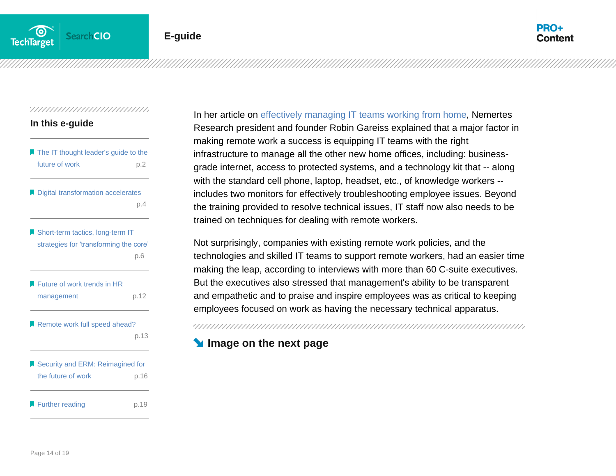

#### **In this e-guide**

| The IT thought leader's guide to the<br>future of work | p.2  |
|--------------------------------------------------------|------|
| Digital transformation accelerates                     | p.4  |
| Short-term tactics, long-term IT                       |      |
| strategies for 'transforming the core'                 | p.6  |
| Future of work trends in HR                            |      |
| management                                             | p.12 |
| Remote work full speed ahead?                          |      |
|                                                        | p.13 |
| Security and ERM: Reimagined for                       |      |
| the future of work                                     | p.16 |
| Further reading                                        | p.19 |

In her article on [effectively managing IT teams working from home,](https://searchcio.techtarget.com/tip/How-to-effectively-manage-your-IT-team-working-from-home?utm_source=PDF&utm_medium=Pillar&utm_campaign=ITThoughtLeader) Nemertes Research president and founder Robin Gareiss explained that a major factor in making remote work a success is equipping IT teams with the right infrastructure to manage all the other new home offices, including: businessgrade internet, access to protected systems, and a technology kit that -- along with the standard cell phone, laptop, headset, etc., of knowledge workers - includes two monitors for effectively troubleshooting employee issues. Beyond the training provided to resolve technical issues, IT staff now also needs to be trained on techniques for dealing with remote workers.

Not surprisingly, companies with existing remote work policies, and the technologies and skilled IT teams to support remote workers, had an easier time making the leap, according to interviews with more than 60 C-suite executives. But the executives also stressed that management's ability to be transparent and empathetic and to praise and inspire employees was as critical to keeping employees focused on work as having the necessary technical apparatus.

## **Image on the next page**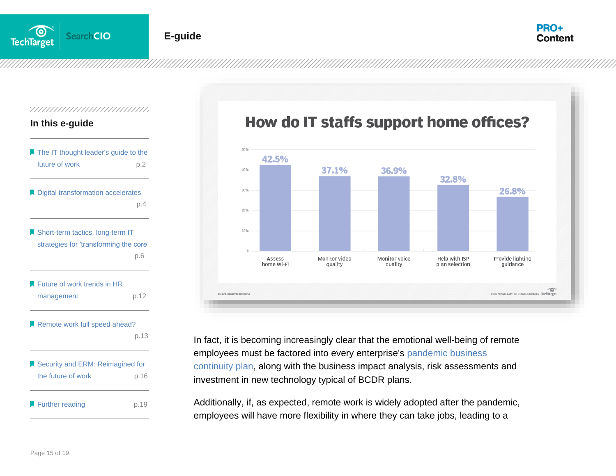

#### **E-guide**



#### 

#### **In this e-guide**

| The IT thought leader's guide to the<br>future of work | p.2  |
|--------------------------------------------------------|------|
| Digital transformation accelerates                     |      |
|                                                        | p.4  |
| Short-term tactics, long-term IT                       |      |
| strategies for 'transforming the core'                 |      |
|                                                        | p.6  |
| Future of work trends in HR                            |      |
| management                                             | p.12 |
| Remote work full speed ahead?                          |      |
|                                                        | p.13 |
| Security and ERM: Reimagined for                       |      |
| the future of work                                     | p.16 |
| Further reading                                        | p.19 |

# How do IT staffs support home offices?



In fact, it is becoming increasingly clear that the emotional well-being of remote employees must be factored into every enterprise's [pandemic business](https://searchdisasterrecovery.techtarget.com/tip/Steps-to-building-a-pandemic-business-continuity-plan?utm_source=PDF&utm_medium=Pillar&utm_campaign=ITThoughtLeader)  [continuity plan,](https://searchdisasterrecovery.techtarget.com/tip/Steps-to-building-a-pandemic-business-continuity-plan?utm_source=PDF&utm_medium=Pillar&utm_campaign=ITThoughtLeader) along with the business impact analysis, risk assessments and investment in new technology typical of BCDR plans.

Additionally, if, as expected, remote work is widely adopted after the pandemic, employees will have more flexibility in where they can take jobs, leading to a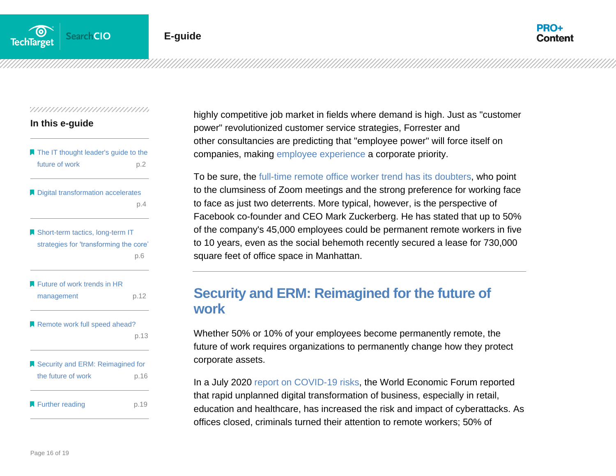

#### ,,,,,,,,,,,,,,,,,,,,,,,,,,,,,,,

| In this e-guide                        |     |
|----------------------------------------|-----|
| ■ The IT thought leader's guide to the |     |
| future of work                         | p.2 |
| Digital transformation accelerates     |     |
|                                        |     |

Short-term tactics, long-term IT [strategies for 'transforming the core'](#page-6-0) . p.6

| <b>EXA</b> Future of work trends in HR |      |
|----------------------------------------|------|
| management                             | p.12 |

Remote work full speed ahead?

| p.13 |
|------|
|------|

| Security and ERM: Reimagined for |      |
|----------------------------------|------|
| the future of work               | p.16 |
|                                  |      |
| Further reading                  | p.19 |

highly competitive job market in fields where demand is high. Just as "customer power" revolutionized customer service strategies, Forrester and other consultancies are predicting that "employee power" will force itself on companies, making [employee experience](https://searchhrsoftware.techtarget.com/definition/employee-experience?utm_source=PDF&utm_medium=Pillar&utm_campaign=ITThoughtLeader) a corporate priority.

To be sure, the [full-time remote office worker trend has its](https://searchhrsoftware.techtarget.com/news/252486366/Full-time-remote-work-trend-has-its-doubters?utm_source=PDF&utm_medium=Pillar&utm_campaign=ITThoughtLeader) doubters, who point to the clumsiness of Zoom meetings and the strong preference for working face to face as just two deterrents. More typical, however, is the perspective of Facebook co-founder and CEO Mark Zuckerberg. He has stated that up to 50% of the company's 45,000 employees could be permanent remote workers in five to 10 years, even as the social behemoth recently secured a lease for 730,000 square feet of office space in Manhattan.

## <span id="page-16-0"></span>**Security and ERM: Reimagined for the future of work**

Whether 50% or 10% of your employees become permanently remote, the future of work requires organizations to permanently change how they protect corporate assets.

In a July 2020 [report on COVID-19 risks,](https://www.weforum.org/agenda/2020/07/covid-19-cybersecurity-disruption-cyber-risk-cyberattack-business-digital-transformation/?utm_source=PDF&utm_medium=Pillar&utm_campaign=ITThoughtLeader) the World Economic Forum reported that rapid unplanned digital transformation of business, especially in retail, education and healthcare, has increased the risk and impact of cyberattacks. As offices closed, criminals turned their attention to remote workers; 50% of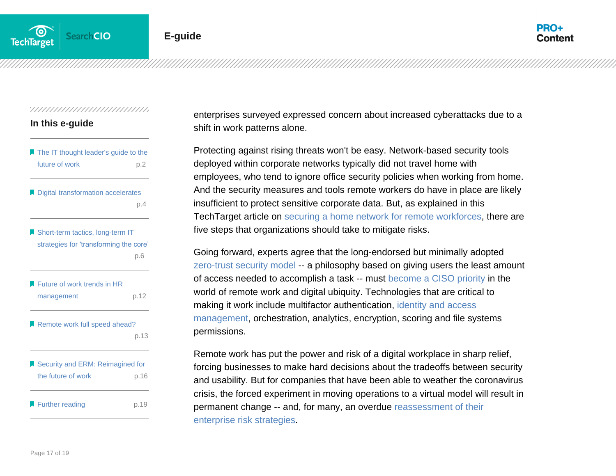

#### **In this e-guide**

| The IT thought leader's guide to the<br>future of work                     | p.2  |
|----------------------------------------------------------------------------|------|
| Digital transformation accelerates                                         | p.4  |
| Short-term tactics, long-term IT<br>strategies for 'transforming the core' | p.6  |
| Future of work trends in HR<br>management                                  | p.12 |
| Remote work full speed ahead?                                              | p.13 |
| Security and ERM: Reimagined for<br>the future of work                     | p.16 |
| Further reading                                                            | p.19 |

enterprises surveyed expressed concern about increased cyberattacks due to a shift in work patterns alone.

Protecting against rising threats won't be easy. Network-based security tools deployed within corporate networks typically did not travel home with employees, who tend to ignore office security policies when working from home. And the security measures and tools remote workers do have in place are likely insufficient to protect sensitive corporate data. But, as explained in this TechTarget article on [securing a home network for remote workforces,](https://searchnetworking.techtarget.com/tip/How-to-secure-a-home-network-for-remote-workforces?utm_source=PDF&utm_medium=Pillar&utm_campaign=ITThoughtLeader) there are five steps that organizations should take to mitigate risks.

Going forward, experts agree that the long-endorsed but minimally adopted [zero-trust security model](https://searchsecurity.techtarget.com/definition/zero-trust-model-zero-trust-network?utm_source=PDF&utm_medium=Pillar&utm_campaign=ITThoughtLeader) -- a philosophy based on giving users the least amount of access needed to accomplish a task -- must [become a CISO priority](https://searchsecurity.techtarget.com/tip/Post-COVID-19-CISO-priorities-changing-for-2020?utm_source=PDF&utm_medium=Pillar&utm_campaign=ITThoughtLeader) in the world of remote work and digital ubiquity. Technologies that are critical to making it work include multifactor authentication, [identity and access](https://searchsecurity.techtarget.com/definition/identity-access-management-IAM-system?utm_source=PDF&utm_medium=Pillar&utm_campaign=ITThoughtLeader)  [management,](https://searchsecurity.techtarget.com/definition/identity-access-management-IAM-system?utm_source=PDF&utm_medium=Pillar&utm_campaign=ITThoughtLeader) orchestration, analytics, encryption, scoring and file systems permissions.

Remote work has put the power and risk of a digital workplace in sharp relief, forcing businesses to make hard decisions about the tradeoffs between security and usability. But for companies that have been able to weather the coronavirus crisis, the forced experiment in moving operations to a virtual model will result in permanent change -- and, for many, an overdue [reassessment of their](https://searchcio.techtarget.com/post/The-contradiction-of-post-COVID-19-risk-management?utm_source=PDF&utm_medium=Pillar&utm_campaign=ITThoughtLeader)  [enterprise risk strategies.](https://searchcio.techtarget.com/post/The-contradiction-of-post-COVID-19-risk-management?utm_source=PDF&utm_medium=Pillar&utm_campaign=ITThoughtLeader)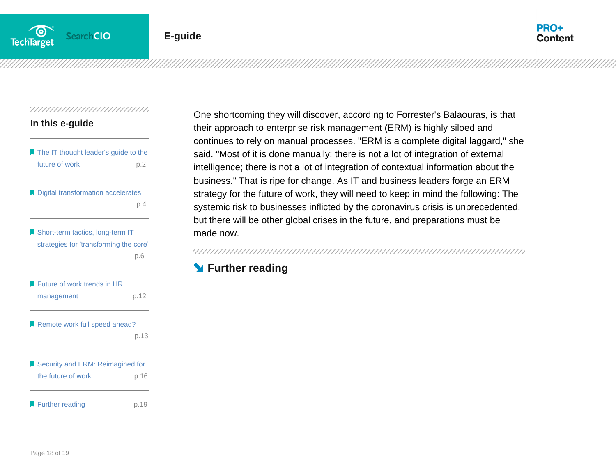

#### **In this e-guide**

| The IT thought leader's guide to the<br>future of work                     | p.2  |
|----------------------------------------------------------------------------|------|
| Digital transformation accelerates                                         | p.4  |
| Short-term tactics, long-term IT<br>strategies for 'transforming the core' |      |
|                                                                            | p.6  |
| Future of work trends in HR<br>management                                  | p.12 |
| Remote work full speed ahead?                                              | p.13 |
| Security and ERM: Reimagined for<br>the future of work                     | p.16 |
| Further reading                                                            | p.19 |

One shortcoming they will discover, according to Forrester's Balaouras, is that their approach to enterprise risk management (ERM) is highly siloed and continues to rely on manual processes. "ERM is a complete digital laggard," she said. "Most of it is done manually; there is not a lot of integration of external intelligence; there is not a lot of integration of contextual information about the business." That is ripe for change. As IT and business leaders forge an ERM strategy for the future of work, they will need to keep in mind the following: The systemic risk to businesses inflicted by the coronavirus crisis is unprecedented, but there will be other global crises in the future, and preparations must be made now.

## **Further reading**